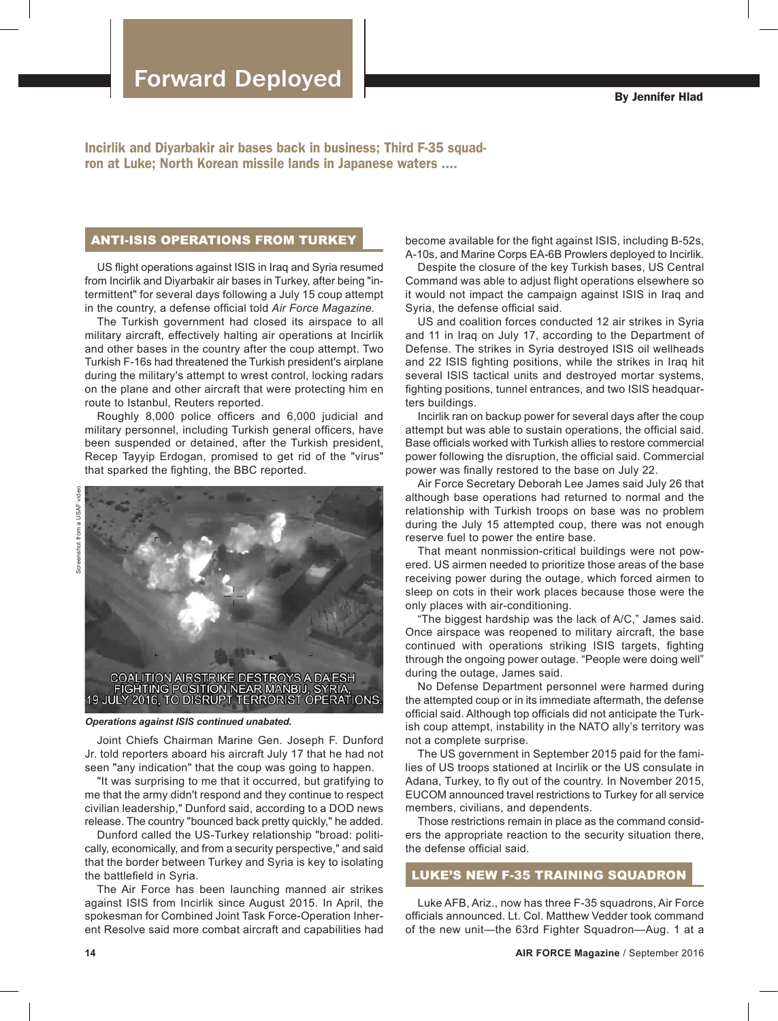Incirlik and Diyarbakir air bases back in business; Third F-35 squadron at Luke; North Korean missile lands in Japanese waters ....

# ANTI-ISIS OPERATIONS FROM TURKEY

US flight operations against ISIS in Iraq and Syria resumed from Incirlik and Diyarbakir air bases in Turkey, after being "intermittent" for several days following a July 15 coup attempt in the country, a defense official told *Air Force Magazine.*

The Turkish government had closed its airspace to all military aircraft, effectively halting air operations at Incirlik and other bases in the country after the coup attempt. Two Turkish F-16s had threatened the Turkish president's airplane during the military's attempt to wrest control, locking radars on the plane and other aircraft that were protecting him en route to Istanbul, Reuters reported.

Roughly 8,000 police officers and 6,000 judicial and military personnel, including Turkish general officers, have been suspended or detained, after the Turkish president, Recep Tayyip Erdogan, promised to get rid of the "virus" that sparked the fighting, the BBC reported.

# COALITION AIRSTRIKE DESTROYS A DA'ESH<br>FIGHTING POSITION NEAR MANBIJ, SYRIA,

### *Operations against ISIS continued unabated.*

Joint Chiefs Chairman Marine Gen. Joseph F. Dunford Jr. told reporters aboard his aircraft July 17 that he had not seen "any indication" that the coup was going to happen.

"It was surprising to me that it occurred, but gratifying to me that the army didn't respond and they continue to respect civilian leadership," Dunford said, according to a DOD news release. The country "bounced back pretty quickly," he added.

Dunford called the US-Turkey relationship "broad: politically, economically, and from a security perspective," and said that the border between Turkey and Syria is key to isolating the battlefield in Syria.

The Air Force has been launching manned air strikes against ISIS from Incirlik since August 2015. In April, the spokesman for Combined Joint Task Force-Operation Inherent Resolve said more combat aircraft and capabilities had become available for the fight against ISIS, including B-52s, A-10s, and Marine Corps EA-6B Prowlers deployed to Incirlik.

Despite the closure of the key Turkish bases, US Central Command was able to adjust flight operations elsewhere so it would not impact the campaign against ISIS in Iraq and Syria, the defense official said.

US and coalition forces conducted 12 air strikes in Syria and 11 in Iraq on July 17, according to the Department of Defense. The strikes in Syria destroyed ISIS oil wellheads and 22 ISIS fighting positions, while the strikes in Iraq hit several ISIS tactical units and destroyed mortar systems, fighting positions, tunnel entrances, and two ISIS headquarters buildings.

Incirlik ran on backup power for several days after the coup attempt but was able to sustain operations, the official said. Base officials worked with Turkish allies to restore commercial power following the disruption, the official said. Commercial power was finally restored to the base on July 22.

Air Force Secretary Deborah Lee James said July 26 that although base operations had returned to normal and the relationship with Turkish troops on base was no problem during the July 15 attempted coup, there was not enough reserve fuel to power the entire base.

That meant nonmission-critical buildings were not powered. US airmen needed to prioritize those areas of the base receiving power during the outage, which forced airmen to sleep on cots in their work places because those were the only places with air-conditioning.

"The biggest hardship was the lack of A/C," James said. Once airspace was reopened to military aircraft, the base continued with operations striking ISIS targets, fighting through the ongoing power outage. "People were doing well" during the outage, James said.

No Defense Department personnel were harmed during the attempted coup or in its immediate aftermath, the defense official said. Although top officials did not anticipate the Turkish coup attempt, instability in the NATO ally's territory was not a complete surprise.

The US government in September 2015 paid for the families of US troops stationed at Incirlik or the US consulate in Adana, Turkey, to fly out of the country. In November 2015, EUCOM announced travel restrictions to Turkey for all service members, civilians, and dependents.

Those restrictions remain in place as the command considers the appropriate reaction to the security situation there, the defense official said.

# LUKE'S NEW F-35 TRAINING SQUADRON

Luke AFB, Ariz., now has three F-35 squadrons, Air Force officials announced. Lt. Col. Matthew Vedder took command of the new unit—the 63rd Fighter Squadron—Aug. 1 at a



Screenshot from a USAF videoScreenshot from a USAF